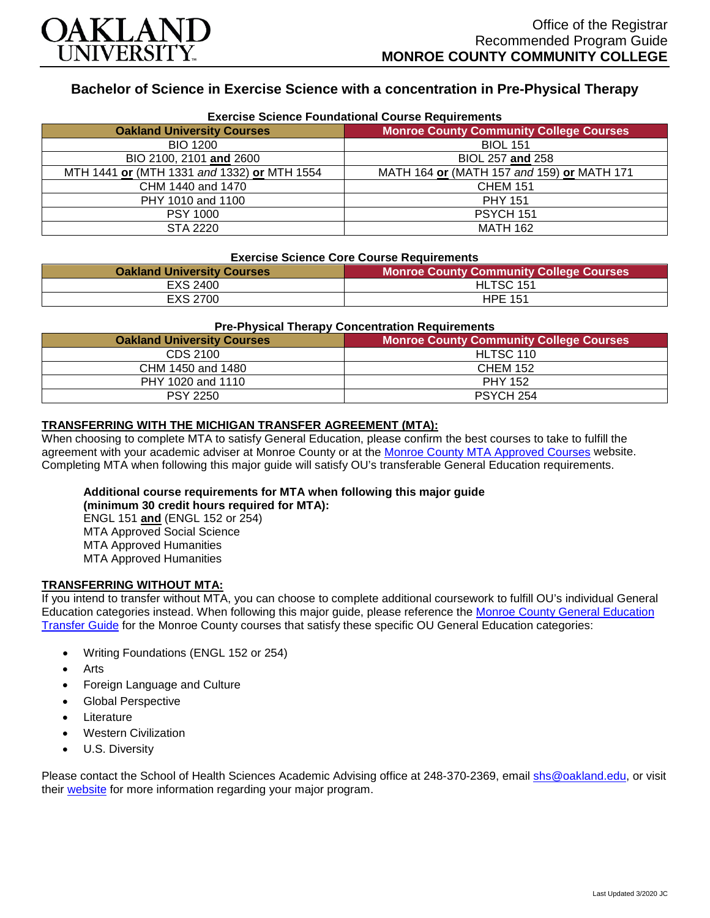

# **Bachelor of Science in Exercise Science with a concentration in Pre-Physical Therapy**

| <b>Exercise Science Foundational Course Requirements</b> |                                                |  |
|----------------------------------------------------------|------------------------------------------------|--|
| <b>Oakland University Courses</b>                        | <b>Monroe County Community College Courses</b> |  |
| <b>BIO 1200</b>                                          | <b>BIOL 151</b>                                |  |
| BIO 2100, 2101 and 2600                                  | BIOL 257 and 258                               |  |
| MTH 1441 or (MTH 1331 and 1332) or MTH 1554              | MATH 164 or (MATH 157 and 159) or MATH 171     |  |
| CHM 1440 and 1470                                        | <b>CHEM 151</b>                                |  |
| PHY 1010 and 1100                                        | <b>PHY 151</b>                                 |  |
| <b>PSY 1000</b>                                          | PSYCH 151                                      |  |
| STA 2220                                                 | <b>MATH 162</b>                                |  |

#### **Exercise Science Core Course Requirements**

| <b>Oakland University Courses</b> | <b>Monroe County Community College Courses</b> |
|-----------------------------------|------------------------------------------------|
| EXS 2400                          | HLTSC 151                                      |
| EXS 2700                          | <b>HPE 151</b>                                 |

### **Pre-Physical Therapy Concentration Requirements**

| <b>Oakland University Courses</b> | <b>Monroe County Community College Courses</b> |
|-----------------------------------|------------------------------------------------|
| CDS 2100                          | HLTSC 110                                      |
| CHM 1450 and 1480                 | <b>CHEM 152</b>                                |
| PHY 1020 and 1110                 | <b>PHY 152</b>                                 |
| <b>PSY 2250</b>                   | PSYCH 254                                      |

### **TRANSFERRING WITH THE MICHIGAN TRANSFER AGREEMENT (MTA):**

When choosing to complete MTA to satisfy General Education, please confirm the best courses to take to fulfill the agreement with your academic adviser at Monroe County or at the [Monroe County MTA Approved Courses](https://www.monroeccc.edu/transfer/michigan-transfer-agreement) website. Completing MTA when following this major guide will satisfy OU's transferable General Education requirements.

## **Additional course requirements for MTA when following this major guide**

**(minimum 30 credit hours required for MTA):** ENGL 151 **and** (ENGL 152 or 254) MTA Approved Social Science MTA Approved Humanities MTA Approved Humanities

#### **TRANSFERRING WITHOUT MTA:**

If you intend to transfer without MTA, you can choose to complete additional coursework to fulfill OU's individual General Education categories instead. When following this major guide, please reference the [Monroe County General Education](https://www.oakland.edu/Assets/Oakland/program-guides/monroe-county-community-college/university-general-education-requirements/Monroe%20County%20Gen%20Ed.pdf)  [Transfer Guide](https://www.oakland.edu/Assets/Oakland/program-guides/monroe-county-community-college/university-general-education-requirements/Monroe%20County%20Gen%20Ed.pdf) for the Monroe County courses that satisfy these specific OU General Education categories:

- Writing Foundations (ENGL 152 or 254)
- **Arts**
- Foreign Language and Culture
- Global Perspective
- **Literature**
- Western Civilization
- U.S. Diversity

Please contact the School of Health Sciences Academic Advising office at 248-370-2369, email [shs@oakland.edu,](mailto:shs@oakland.edu) or visit their [website](http://www.oakland.edu/shs/advising) for more information regarding your major program.